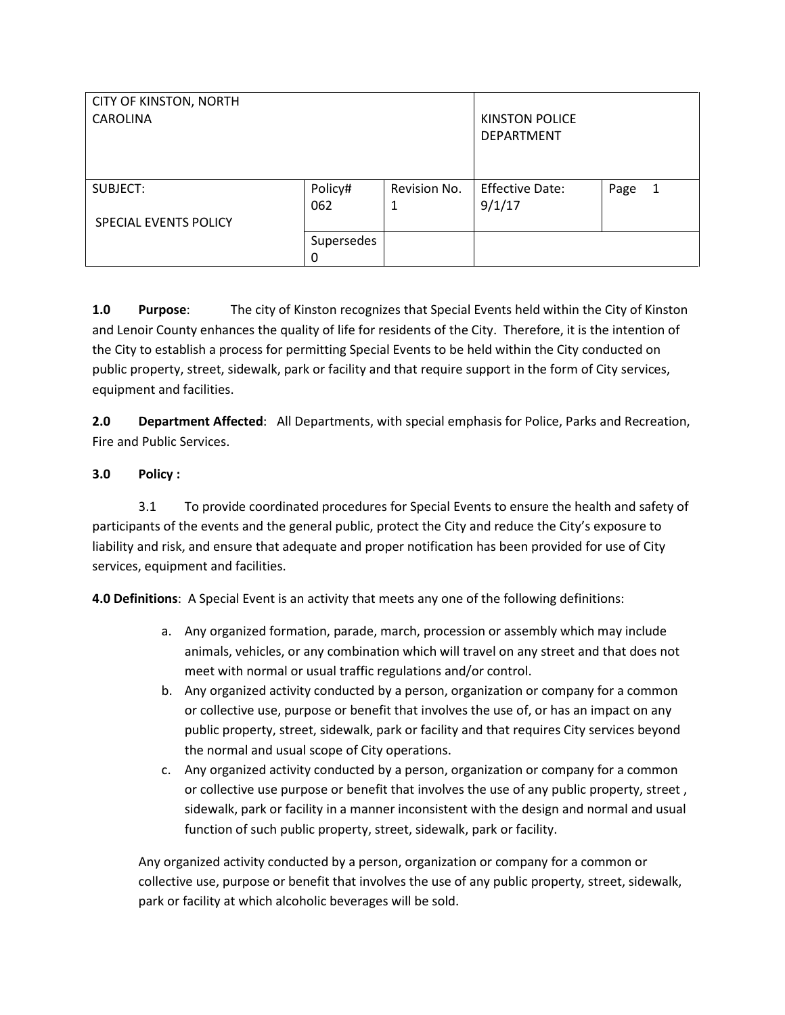| <b>CITY OF KINSTON, NORTH</b><br><b>CAROLINA</b> |                 |                   | <b>KINSTON POLICE</b><br><b>DEPARTMENT</b> |           |
|--------------------------------------------------|-----------------|-------------------|--------------------------------------------|-----------|
| SUBJECT:<br>SPECIAL EVENTS POLICY                | Policy#<br>062  | Revision No.<br>1 | <b>Effective Date:</b><br>9/1/17           | Page<br>1 |
|                                                  | Supersedes<br>0 |                   |                                            |           |

**1.0 Purpose**: The city of Kinston recognizes that Special Events held within the City of Kinston and Lenoir County enhances the quality of life for residents of the City. Therefore, it is the intention of the City to establish a process for permitting Special Events to be held within the City conducted on public property, street, sidewalk, park or facility and that require support in the form of City services, equipment and facilities.

**2.0 Department Affected**: All Departments, with special emphasis for Police, Parks and Recreation, Fire and Public Services.

#### **3.0 Policy :**

3.1 To provide coordinated procedures for Special Events to ensure the health and safety of participants of the events and the general public, protect the City and reduce the City's exposure to liability and risk, and ensure that adequate and proper notification has been provided for use of City services, equipment and facilities.

**4.0 Definitions**: A Special Event is an activity that meets any one of the following definitions:

- a. Any organized formation, parade, march, procession or assembly which may include animals, vehicles, or any combination which will travel on any street and that does not meet with normal or usual traffic regulations and/or control.
- b. Any organized activity conducted by a person, organization or company for a common or collective use, purpose or benefit that involves the use of, or has an impact on any public property, street, sidewalk, park or facility and that requires City services beyond the normal and usual scope of City operations.
- c. Any organized activity conducted by a person, organization or company for a common or collective use purpose or benefit that involves the use of any public property, street , sidewalk, park or facility in a manner inconsistent with the design and normal and usual function of such public property, street, sidewalk, park or facility.

Any organized activity conducted by a person, organization or company for a common or collective use, purpose or benefit that involves the use of any public property, street, sidewalk, park or facility at which alcoholic beverages will be sold.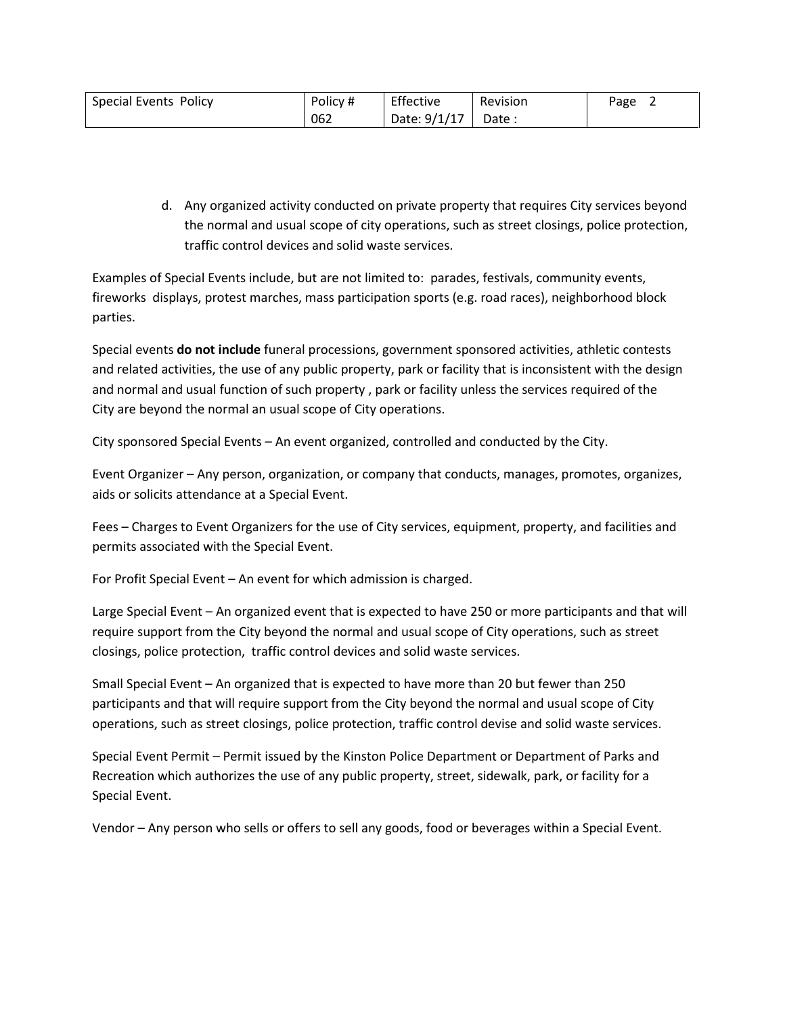| Special Events Policy | Policy # | Effective    | Revision | Page |
|-----------------------|----------|--------------|----------|------|
|                       | 062      | Date: 9/1/17 | Date:    |      |

d. Any organized activity conducted on private property that requires City services beyond the normal and usual scope of city operations, such as street closings, police protection, traffic control devices and solid waste services.

Examples of Special Events include, but are not limited to: parades, festivals, community events, fireworks displays, protest marches, mass participation sports (e.g. road races), neighborhood block parties.

Special events **do not include** funeral processions, government sponsored activities, athletic contests and related activities, the use of any public property, park or facility that is inconsistent with the design and normal and usual function of such property , park or facility unless the services required of the City are beyond the normal an usual scope of City operations.

City sponsored Special Events – An event organized, controlled and conducted by the City.

Event Organizer – Any person, organization, or company that conducts, manages, promotes, organizes, aids or solicits attendance at a Special Event.

Fees – Charges to Event Organizers for the use of City services, equipment, property, and facilities and permits associated with the Special Event.

For Profit Special Event – An event for which admission is charged.

Large Special Event – An organized event that is expected to have 250 or more participants and that will require support from the City beyond the normal and usual scope of City operations, such as street closings, police protection, traffic control devices and solid waste services.

Small Special Event – An organized that is expected to have more than 20 but fewer than 250 participants and that will require support from the City beyond the normal and usual scope of City operations, such as street closings, police protection, traffic control devise and solid waste services.

Special Event Permit – Permit issued by the Kinston Police Department or Department of Parks and Recreation which authorizes the use of any public property, street, sidewalk, park, or facility for a Special Event.

Vendor – Any person who sells or offers to sell any goods, food or beverages within a Special Event.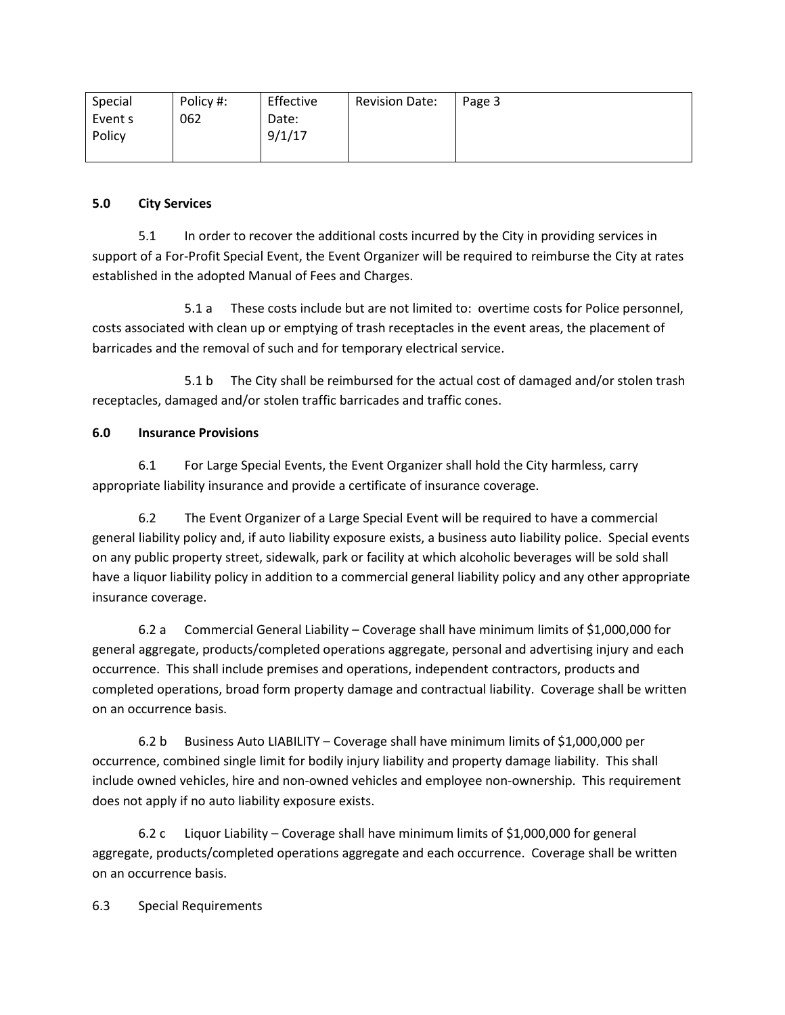| Special           | Policy #: | Effective       | <b>Revision Date:</b> | Page 3 |
|-------------------|-----------|-----------------|-----------------------|--------|
| Event s<br>Policy | 062       | Date:<br>9/1/17 |                       |        |

## **5.0 City Services**

5.1 In order to recover the additional costs incurred by the City in providing services in support of a For-Profit Special Event, the Event Organizer will be required to reimburse the City at rates established in the adopted Manual of Fees and Charges.

5.1 a These costs include but are not limited to: overtime costs for Police personnel, costs associated with clean up or emptying of trash receptacles in the event areas, the placement of barricades and the removal of such and for temporary electrical service.

5.1 b The City shall be reimbursed for the actual cost of damaged and/or stolen trash receptacles, damaged and/or stolen traffic barricades and traffic cones.

# **6.0 Insurance Provisions**

6.1 For Large Special Events, the Event Organizer shall hold the City harmless, carry appropriate liability insurance and provide a certificate of insurance coverage.

6.2 The Event Organizer of a Large Special Event will be required to have a commercial general liability policy and, if auto liability exposure exists, a business auto liability police. Special events on any public property street, sidewalk, park or facility at which alcoholic beverages will be sold shall have a liquor liability policy in addition to a commercial general liability policy and any other appropriate insurance coverage.

6.2 a Commercial General Liability – Coverage shall have minimum limits of \$1,000,000 for general aggregate, products/completed operations aggregate, personal and advertising injury and each occurrence. This shall include premises and operations, independent contractors, products and completed operations, broad form property damage and contractual liability. Coverage shall be written on an occurrence basis.

6.2 b Business Auto LIABILITY – Coverage shall have minimum limits of \$1,000,000 per occurrence, combined single limit for bodily injury liability and property damage liability. This shall include owned vehicles, hire and non-owned vehicles and employee non-ownership. This requirement does not apply if no auto liability exposure exists.

6.2 c Liquor Liability – Coverage shall have minimum limits of \$1,000,000 for general aggregate, products/completed operations aggregate and each occurrence. Coverage shall be written on an occurrence basis.

6.3 Special Requirements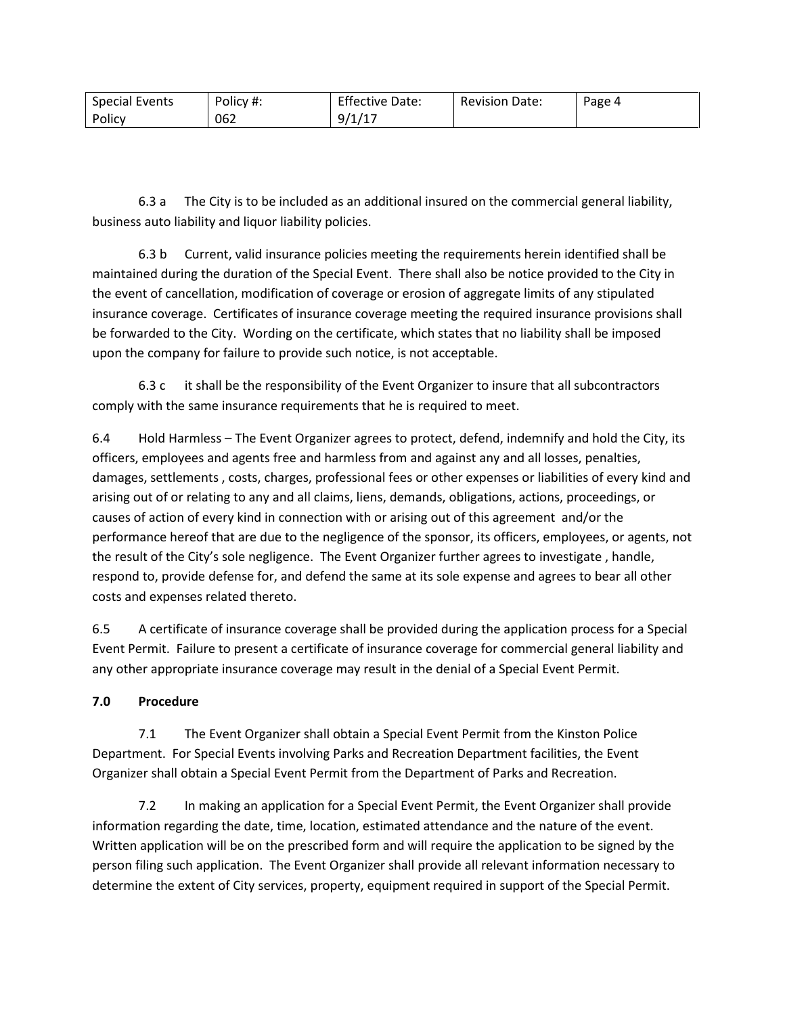| <b>Special Events</b> | Policy #: | <b>Effective Date:</b>         | <b>Revision Date:</b> | Page 4 |
|-----------------------|-----------|--------------------------------|-----------------------|--------|
| Policy                | 062       | $11 -$<br>9/1<br><u>. на с</u> |                       |        |

6.3 a The City is to be included as an additional insured on the commercial general liability, business auto liability and liquor liability policies.

6.3 b Current, valid insurance policies meeting the requirements herein identified shall be maintained during the duration of the Special Event. There shall also be notice provided to the City in the event of cancellation, modification of coverage or erosion of aggregate limits of any stipulated insurance coverage. Certificates of insurance coverage meeting the required insurance provisions shall be forwarded to the City. Wording on the certificate, which states that no liability shall be imposed upon the company for failure to provide such notice, is not acceptable.

6.3 c it shall be the responsibility of the Event Organizer to insure that all subcontractors comply with the same insurance requirements that he is required to meet.

6.4 Hold Harmless – The Event Organizer agrees to protect, defend, indemnify and hold the City, its officers, employees and agents free and harmless from and against any and all losses, penalties, damages, settlements , costs, charges, professional fees or other expenses or liabilities of every kind and arising out of or relating to any and all claims, liens, demands, obligations, actions, proceedings, or causes of action of every kind in connection with or arising out of this agreement and/or the performance hereof that are due to the negligence of the sponsor, its officers, employees, or agents, not the result of the City's sole negligence. The Event Organizer further agrees to investigate , handle, respond to, provide defense for, and defend the same at its sole expense and agrees to bear all other costs and expenses related thereto.

6.5 A certificate of insurance coverage shall be provided during the application process for a Special Event Permit. Failure to present a certificate of insurance coverage for commercial general liability and any other appropriate insurance coverage may result in the denial of a Special Event Permit.

### **7.0 Procedure**

7.1 The Event Organizer shall obtain a Special Event Permit from the Kinston Police Department. For Special Events involving Parks and Recreation Department facilities, the Event Organizer shall obtain a Special Event Permit from the Department of Parks and Recreation.

7.2 In making an application for a Special Event Permit, the Event Organizer shall provide information regarding the date, time, location, estimated attendance and the nature of the event. Written application will be on the prescribed form and will require the application to be signed by the person filing such application. The Event Organizer shall provide all relevant information necessary to determine the extent of City services, property, equipment required in support of the Special Permit.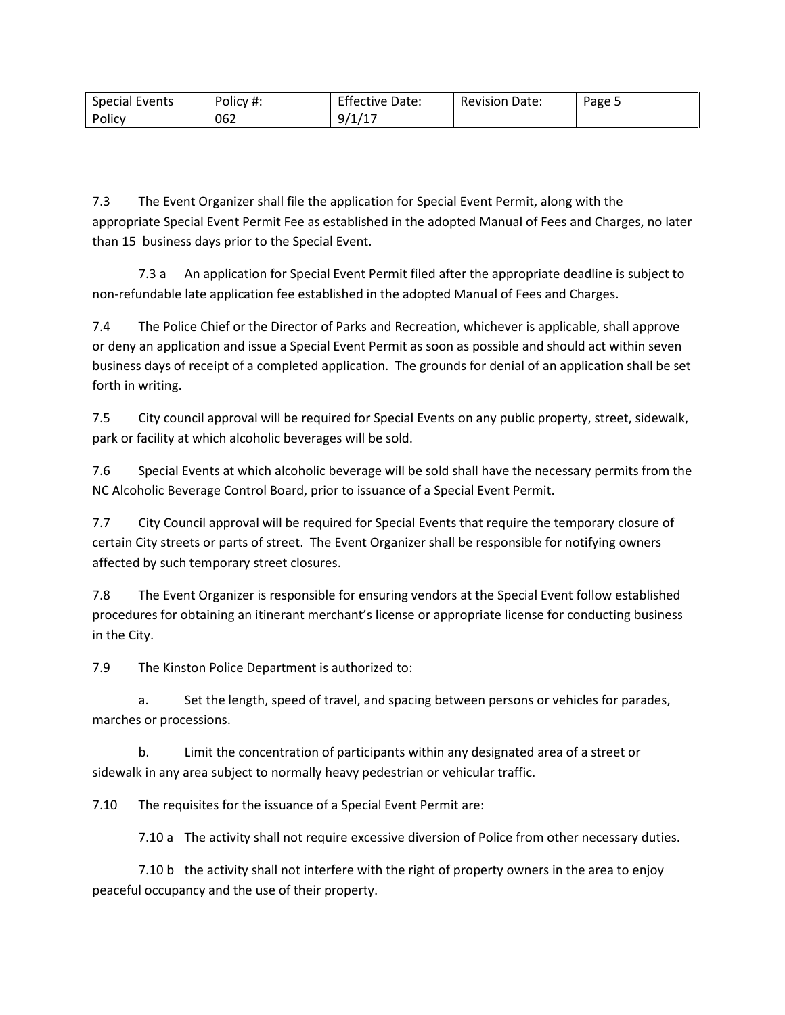| <b>Special Events</b> | Policy #: | <b>Effective Date:</b>         | <b>Revision Date:</b> | Page = |
|-----------------------|-----------|--------------------------------|-----------------------|--------|
| Policy                | 062       | $11 -$<br>9/1<br><u>. на с</u> |                       |        |

7.3 The Event Organizer shall file the application for Special Event Permit, along with the appropriate Special Event Permit Fee as established in the adopted Manual of Fees and Charges, no later than 15 business days prior to the Special Event.

7.3 a An application for Special Event Permit filed after the appropriate deadline is subject to non-refundable late application fee established in the adopted Manual of Fees and Charges.

7.4 The Police Chief or the Director of Parks and Recreation, whichever is applicable, shall approve or deny an application and issue a Special Event Permit as soon as possible and should act within seven business days of receipt of a completed application. The grounds for denial of an application shall be set forth in writing.

7.5 City council approval will be required for Special Events on any public property, street, sidewalk, park or facility at which alcoholic beverages will be sold.

7.6 Special Events at which alcoholic beverage will be sold shall have the necessary permits from the NC Alcoholic Beverage Control Board, prior to issuance of a Special Event Permit.

7.7 City Council approval will be required for Special Events that require the temporary closure of certain City streets or parts of street. The Event Organizer shall be responsible for notifying owners affected by such temporary street closures.

7.8 The Event Organizer is responsible for ensuring vendors at the Special Event follow established procedures for obtaining an itinerant merchant's license or appropriate license for conducting business in the City.

7.9 The Kinston Police Department is authorized to:

a. Set the length, speed of travel, and spacing between persons or vehicles for parades, marches or processions.

b. Limit the concentration of participants within any designated area of a street or sidewalk in any area subject to normally heavy pedestrian or vehicular traffic.

7.10 The requisites for the issuance of a Special Event Permit are:

7.10 a The activity shall not require excessive diversion of Police from other necessary duties.

7.10 b the activity shall not interfere with the right of property owners in the area to enjoy peaceful occupancy and the use of their property.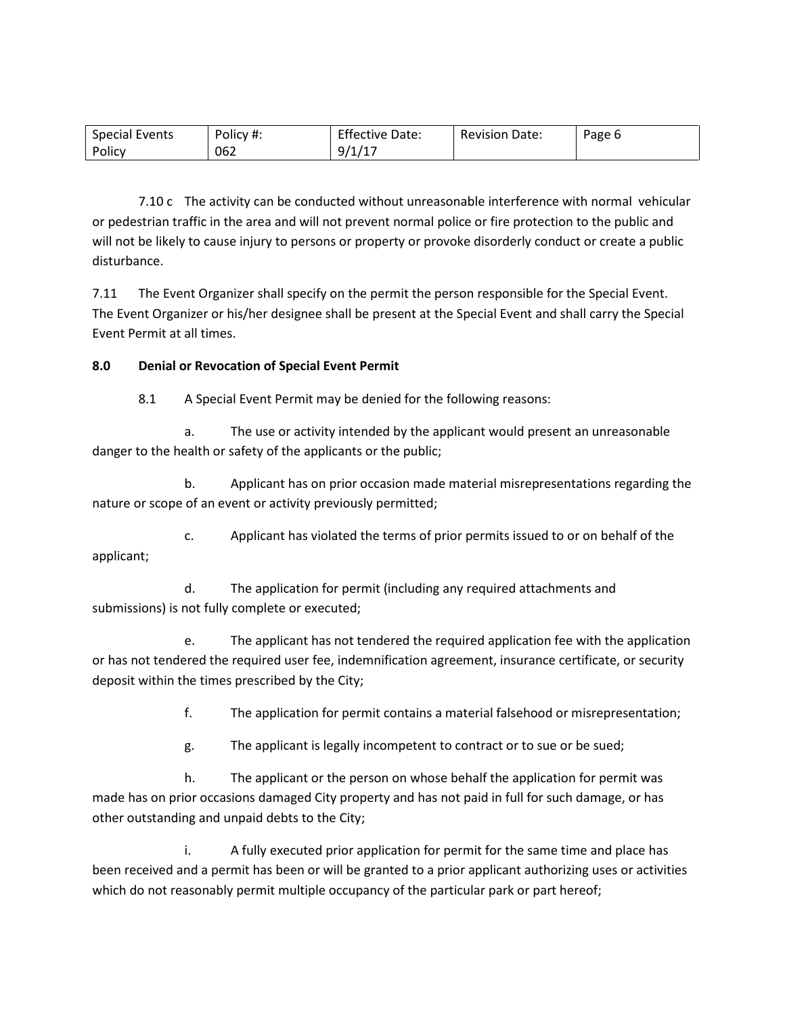| <b>Special Events</b> | Policy #: | <b>Effective Date:</b>    | <b>Revision Date:</b> | Page 6 |
|-----------------------|-----------|---------------------------|-----------------------|--------|
| Policy                | 062       | $14 -$<br>9/1<br><b>.</b> |                       |        |

7.10 c The activity can be conducted without unreasonable interference with normal vehicular or pedestrian traffic in the area and will not prevent normal police or fire protection to the public and will not be likely to cause injury to persons or property or provoke disorderly conduct or create a public disturbance.

7.11 The Event Organizer shall specify on the permit the person responsible for the Special Event. The Event Organizer or his/her designee shall be present at the Special Event and shall carry the Special Event Permit at all times.

### **8.0 Denial or Revocation of Special Event Permit**

8.1 A Special Event Permit may be denied for the following reasons:

a. The use or activity intended by the applicant would present an unreasonable danger to the health or safety of the applicants or the public;

b. Applicant has on prior occasion made material misrepresentations regarding the nature or scope of an event or activity previously permitted;

c. Applicant has violated the terms of prior permits issued to or on behalf of the applicant;

d. The application for permit (including any required attachments and submissions) is not fully complete or executed;

e. The applicant has not tendered the required application fee with the application or has not tendered the required user fee, indemnification agreement, insurance certificate, or security deposit within the times prescribed by the City;

f. The application for permit contains a material falsehood or misrepresentation;

g. The applicant is legally incompetent to contract or to sue or be sued;

h. The applicant or the person on whose behalf the application for permit was made has on prior occasions damaged City property and has not paid in full for such damage, or has other outstanding and unpaid debts to the City;

i. A fully executed prior application for permit for the same time and place has been received and a permit has been or will be granted to a prior applicant authorizing uses or activities which do not reasonably permit multiple occupancy of the particular park or part hereof;